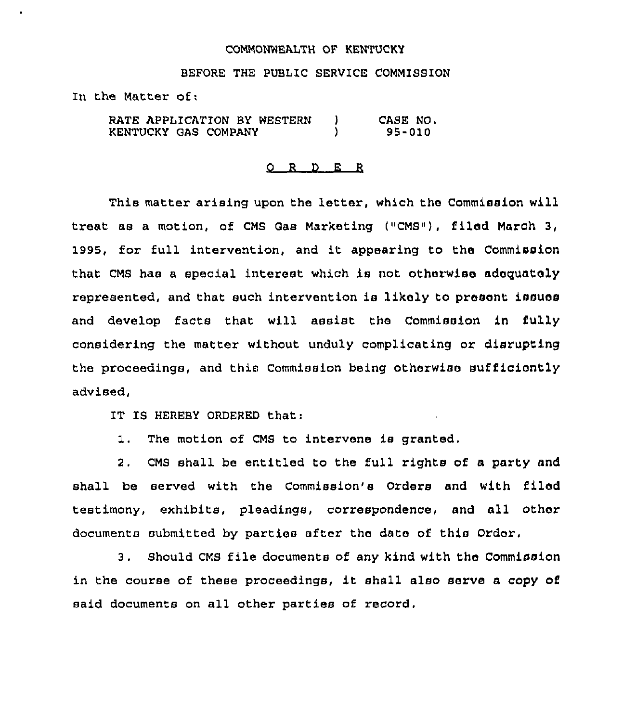## COMMONWEALTH OF KENTUCKY

## BEFORE THE PUBLIC SERVICE COMMISSION

In the Matter of:

RATE APPLICATION BY WESTERN )<br>KENTUCKY GAS COMPANY ) KENTUCKY GAS COMPANY ) CASE NO. 95-010

## 0 R <sup>D</sup> E R

This matter arising upon the letter, which the Commission will treat as a motion, of CMS Gas Marketing ("CMS"), filed March 3, 1995, for full intervention, and it appearing to the Commission that CMS has a special interest which is not otherwise adequately represented, and that such intervention is likely to present issues and develop facts that will assist the Commission in fully considering the matter without unduly complicating or disrupting the proceedings, and this Commission being otherwise sufficiently advised,

IT IS HEREBY ORDERED that:

1. The motion of CMS to intervene is granted,

2. CMS shall be entitled to the full rights of a party and shall be served with the Commission's Orders and with filed testimony, exhibits, pleadings, correspondence, and all other documents submitted by parties after the date of this Order.

3. Should CMS file documents of any kind with the Commission in the course of these proceedings, it shall also serve <sup>a</sup> copy of said documents on all other parties of record,